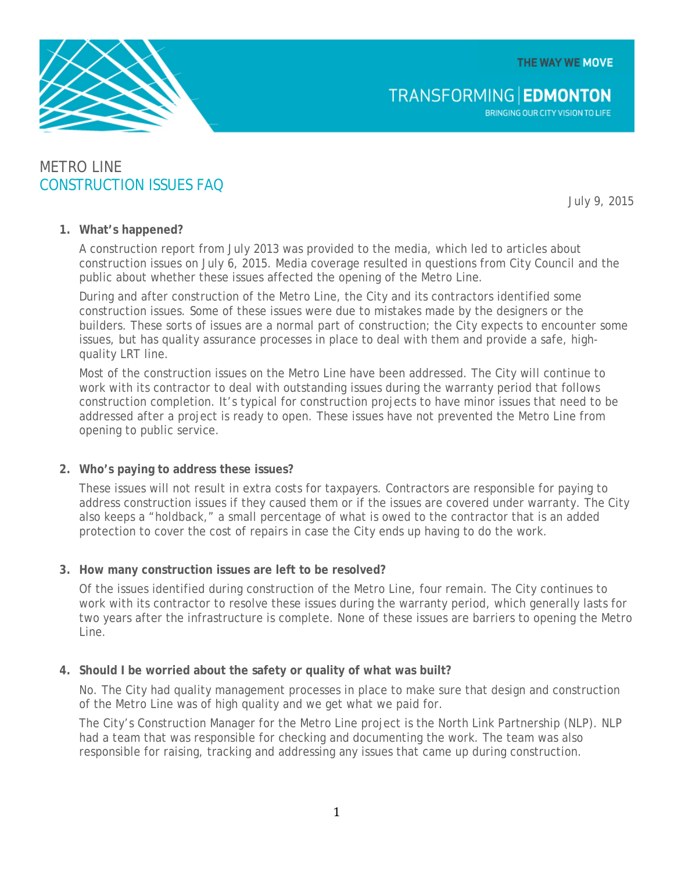THE WAY WE MOVE

BRINGING OUR CITY VISION TO LIFE

TRANSFORMING | EDMONTON



# METRO LINE CONSTRUCTION ISSUES FAQ

July 9, 2015

## **1. What's happened?**

A construction report from July 2013 was provided to the media, which led to articles about construction issues on July 6, 2015. Media coverage resulted in questions from City Council and the public about whether these issues affected the opening of the Metro Line.

During and after construction of the Metro Line, the City and its contractors identified some construction issues. Some of these issues were due to mistakes made by the designers or the builders. These sorts of issues are a normal part of construction; the City expects to encounter some issues, but has quality assurance processes in place to deal with them and provide a safe, highquality LRT line.

Most of the construction issues on the Metro Line have been addressed. The City will continue to work with its contractor to deal with outstanding issues during the warranty period that follows construction completion. It's typical for construction projects to have minor issues that need to be addressed after a project is ready to open. These issues have not prevented the Metro Line from opening to public service.

## **2. Who's paying to address these issues?**

These issues will not result in extra costs for taxpayers. Contractors are responsible for paying to address construction issues if they caused them or if the issues are covered under warranty. The City also keeps a "holdback," a small percentage of what is owed to the contractor that is an added protection to cover the cost of repairs in case the City ends up having to do the work.

## **3. How many construction issues are left to be resolved?**

Of the issues identified during construction of the Metro Line, four remain. The City continues to work with its contractor to resolve these issues during the warranty period, which generally lasts for two years after the infrastructure is complete. None of these issues are barriers to opening the Metro Line.

## **4. Should I be worried about the safety or quality of what was built?**

No. The City had quality management processes in place to make sure that design and construction of the Metro Line was of high quality and we get what we paid for.

The City's Construction Manager for the Metro Line project is the North Link Partnership (NLP). NLP had a team that was responsible for checking and documenting the work. The team was also responsible for raising, tracking and addressing any issues that came up during construction.